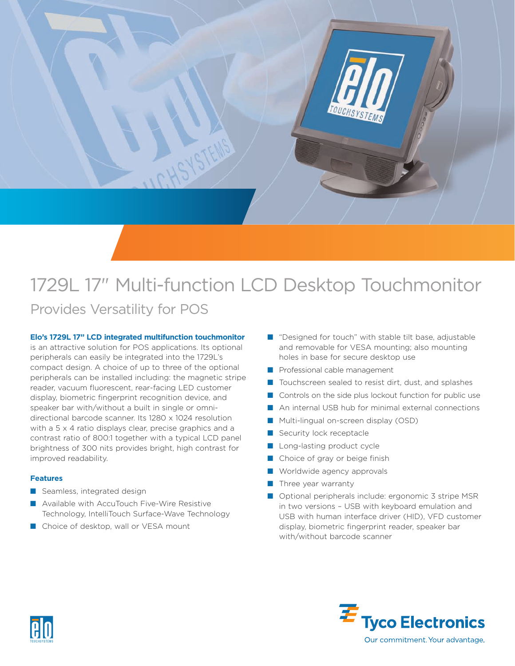

# 1729L 17" Multi-function LCD Desktop Touchmonitor Provides Versatility for POS

### **Elo's 1729L 17" LCD integrated multifunction touchmonitor**

is an attractive solution for POS applications. Its optional peripherals can easily be integrated into the 1729L's compact design. A choice of up to three of the optional peripherals can be installed including: the magnetic stripe reader, vacuum fluorescent, rear-facing LED customer display, biometric fingerprint recognition device, and speaker bar with/without a built in single or omnidirectional barcode scanner. Its 1280 x 1024 resolution with a 5 x 4 ratio displays clear, precise graphics and a contrast ratio of 800:1 together with a typical LCD panel brightness of 300 nits provides bright, high contrast for improved readability.

### **Features**

- Seamless, integrated design
- Available with AccuTouch Five-Wire Resistive Technology, IntelliTouch Surface-Wave Technology
- Choice of desktop, wall or VESA mount
- "Designed for touch" with stable tilt base, adjustable and removable for VESA mounting; also mounting holes in base for secure desktop use
- Professional cable management
- Touchscreen sealed to resist dirt, dust, and splashes
- Controls on the side plus lockout function for public use
- An internal USB hub for minimal external connections
- Multi-lingual on-screen display (OSD)
- Security lock receptacle
- Long-lasting product cycle
- Choice of gray or beige finish
- Worldwide agency approvals
- **■** Three year warranty
- Optional peripherals include: ergonomic 3 stripe MSR in two versions – USB with keyboard emulation and USB with human interface driver (HID), VFD customer display, biometric fingerprint reader, speaker bar with/without barcode scanner